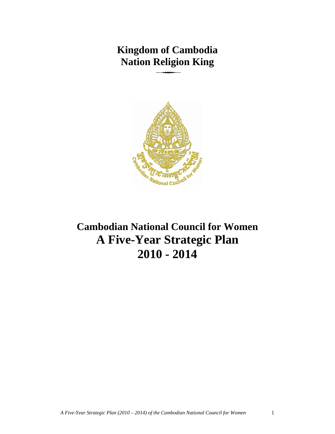# **Kingdom of Cambodia Nation Religion King**  <u> 333 - 333 - 333 - 333 - 333 - 333 - 333 - 333 - 333 - 333 - 333 - 333 - 333 - 333 - 333 - 333 - 333 - 333 - 333 - 333 - 333 - 333 - 333 - 333 - 333 - 333 - 333 - 333 - 333 - 333 - 333 - 333 - 333 - 333 - 333 - 333 - 333 </u>



**Cambodian National Council for Women A Five-Year Strategic Plan 2010 - 2014**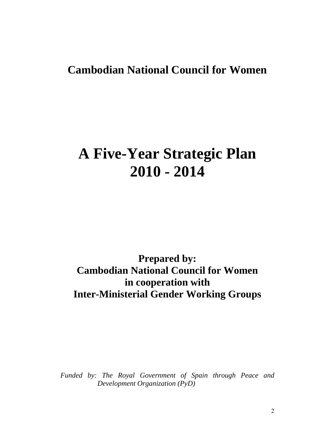# **Cambodian National Council for Women**

# **A Five-Year Strategic Plan 2010 - 2014**

**Prepared by: Cambodian National Council for Women in cooperation with Inter-Ministerial Gender Working Groups** 

*Funded by: The Royal Government of Spain through Peace and Development Organization (PyD)* 

2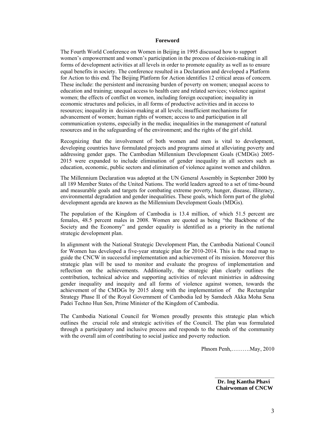#### **Foreword**

The Fourth World Conference on Women in Beijing in 1995 discussed how to support women's empowerment and women's participation in the process of decision-making in all forms of development activities at all levels in order to promote equality as well as to ensure equal benefits in society. The conference resulted in a Declaration and developed a Platform for Action to this end. The Beijing Platform for Action identifies 12 critical areas of concern. These include: the persistent and increasing burden of poverty on women; unequal access to education and training; unequal access to health care and related services; violence against women; the effects of conflict on women, including foreign occupation; inequality in economic structures and policies, in all forms of productive activities and in access to resources; inequality in decision-making at all levels; insufficient mechanisms for advancement of women; human rights of women; access to and participation in all communication systems, especially in the media; inequalities in the management of natural resources and in the safeguarding of the environment; and the rights of the girl child.

Recognizing that the involvement of both women and men is vital to development, developing countries have formulated projects and programs aimed at alleviating poverty and addressing gender gaps. The Cambodian Millennium Development Goals (CMDGs) 2005- 2015 were expanded to include elimination of gender inequality in all sectors such as education, economic, public sectors and elimination of violence against women and children.

The Millennium Declaration was adopted at the UN General Assembly in September 2000 by all 189 Member States of the United Nations. The world leaders agreed to a set of time-bound and measurable goals and targets for combating extreme poverty, hunger, disease, illiteracy, environmental degradation and gender inequalities. These goals, which form part of the global development agenda are known as the Millennium Development Goals (MDGs).

The population of the Kingdom of Cambodia is 13.4 million, of which 51.5 percent are females, 48.5 percent males in 2008. Women are quoted as being "the Backbone of the Society and the Economy" and gender equality is identified as a priority in the national strategic development plan.

In alignment with the National Strategic Development Plan, the Cambodia National Council for Women has developed a five-year strategic plan for 2010-2014. This is the road map to guide the CNCW in successful implementation and achievement of its mission. Moreover this strategic plan will be used to monitor and evaluate the progress of implementation and reflection on the achievements. Additionally, the strategic plan clearly outlines the contribution, technical advice and supporting activities of relevant ministries in addressing gender inequality and inequity and all forms of violence against women, towards the achievement of the CMDGs by 2015 along with the implementation of the Rectangular Strategy Phase II of the Royal Government of Cambodia led by Samdech Akka Moha Sena Padei Techno Hun Sen, Prime Minister of the Kingdom of Cambodia.

The Cambodia National Council for Women proudly presents this strategic plan which outlines the crucial role and strategic activities of the Council. The plan was formulated through a participatory and inclusive process and responds to the needs of the community with the overall aim of contributing to social justice and poverty reduction.

Phnom Penh,……….May, 2010

 $\overline{\phantom{a}}$  , where  $\overline{\phantom{a}}$  **Dr. Ing Kantha Phavi Chairwoman of CNCW**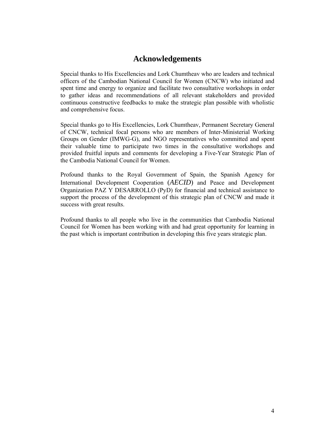# **Acknowledgements**

Special thanks to His Excellencies and Lork Chumtheav who are leaders and technical officers of the Cambodian National Council for Women (CNCW) who initiated and spent time and energy to organize and facilitate two consultative workshops in order to gather ideas and recommendations of all relevant stakeholders and provided continuous constructive feedbacks to make the strategic plan possible with wholistic and comprehensive focus.

Special thanks go to His Excellencies, Lork Chumtheav, Permanent Secretary General of CNCW, technical focal persons who are members of Inter-Ministerial Working Groups on Gender (IMWG-G), and NGO representatives who committed and spent their valuable time to participate two times in the consultative workshops and provided fruitful inputs and comments for developing a Five-Year Strategic Plan of the Cambodia National Council for Women.

Profound thanks to the Royal Government of Spain, the Spanish Agency for International Development Cooperation (*AECID*) and Peace and Development Organization PAZ Y DESARROLLO (PyD) for financial and technical assistance to support the process of the development of this strategic plan of CNCW and made it success with great results.

Profound thanks to all people who live in the communities that Cambodia National Council for Women has been working with and had great opportunity for learning in the past which is important contribution in developing this five years strategic plan.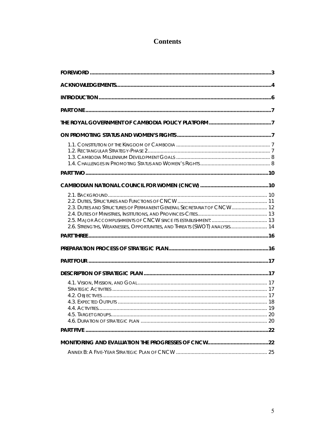# **Contents**

| 2.3. DUTIES AND STRUCTURES OF PERMANENT GENERAL SECRETARIAT OF CNCW 12<br>2.6. STRENGTHS, WEAKNESSES, OPPORTUNITIES, AND THREATS (SWOT) ANALYSIS 14 |  |
|-----------------------------------------------------------------------------------------------------------------------------------------------------|--|
|                                                                                                                                                     |  |
|                                                                                                                                                     |  |
|                                                                                                                                                     |  |
|                                                                                                                                                     |  |
|                                                                                                                                                     |  |
|                                                                                                                                                     |  |
|                                                                                                                                                     |  |
|                                                                                                                                                     |  |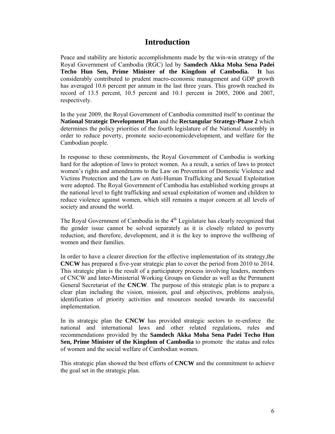# **Introduction**

Peace and stability are historic accomplishments made by the win-win strategy of the Royal Government of Cambodia (RGC) led by **Samdech Akka Moha Sena Padei Techo Hun Sen, Prime Minister of the Kingdom of Cambodia. It** has considerably contributed to prudent macro-economic management and GDP growth has averaged 10.6 percent per annum in the last three years. This growth reached its record of 13.5 percent, 10.5 percent and 10.1 percent in 2005, 2006 and 2007, respectively.

In the year 2009, the Royal Government of Cambodia committed itself to continue the **National Strategic Development Plan** and the **Rectangular Strategy-Phase 2** which determines the policy priorities of the fourth legislature of the National Assembly in order to reduce poverty, promote socio-economicdevelopment, and welfare for the Cambodian people.

In response to these commitments, the Royal Government of Cambodia is working hard for the adoption of laws to protect women. As a result, a series of laws to protect women's rights and amendments to the Law on Prevention of Domestic Violence and Victims Protection and the Law on Anti-Human Trafficking and Sexual Exploitation were adopted. The Royal Government of Cambodia has established working groups at the national level to fight trafficking and sexual exploitation of women and children to reduce violence against women, which still remains a major concern at all levels of society and around the world.

The Royal Government of Cambodia in the 4<sup>th</sup> Legislature has clearly recognized that the gender issue cannot be solved separately as it is closely related to poverty reduction, and therefore, development, and it is the key to improve the wellbeing of women and their families.

In order to have a clearer direction for the effective implementation of its strategy,the **CNCW** has prepared a five-year strategic plan to cover the period from 2010 to 2014. This strategic plan is the result of a participatory process involving leaders, members of CNCW and Inter-Ministerial Working Groups on Gender as well as the Permanent General Secretariat of the **CNCW**. The purpose of this strategic plan is to prepare a clear plan including the vision, mission, goal and objectives, problems analysis, identification of priority activities and resources needed towards its successful implementation.

In its strategic plan the **CNCW** has provided strategic sectors to re-enforce the national and international laws and other related regulations, rules and recommendations provided by the **Samdech Akka Moha Sena Padei Techo Hun Sen, Prime Minister of the Kingdom of Cambodia** to promote the status and roles of women and the social welfare of Cambodian women.

This strategic plan showed the best efforts of **CNCW** and the commitment to achieve the goal set in the strategic plan.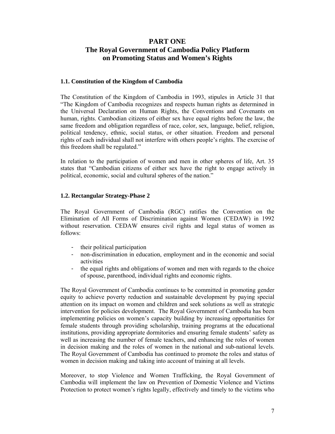# **PART ONE The Royal Government of Cambodia Policy Platform on Promoting Status and Women's Rights**

#### **1.1. Constitution of the Kingdom of Cambodia**

The Constitution of the Kingdom of Cambodia in 1993, stipules in Article 31 that "The Kingdom of Cambodia recognizes and respects human rights as determined in the Universal Declaration on Human Rights, the Conventions and Covenants on human, rights. Cambodian citizens of either sex have equal rights before the law, the same freedom and obligation regardless of race, color, sex, language, belief, religion, political tendency, ethnic, social status, or other situation. Freedom and personal rights of each individual shall not interfere with others people's rights. The exercise of this freedom shall be regulated."

In relation to the participation of women and men in other spheres of life, Art. 35 states that "Cambodian citizens of either sex have the right to engage actively in political, economic, social and cultural spheres of the nation."

#### **1.2. Rectangular Strategy-Phase 2**

The Royal Government of Cambodia (RGC) ratifies the Convention on the Elimination of All Forms of Discrimination against Women (CEDAW) in 1992 without reservation. CEDAW ensures civil rights and legal status of women as follows:

- their political participation
- non-discrimination in education, employment and in the economic and social activities
- the equal rights and obligations of women and men with regards to the choice of spouse, parenthood, individual rights and economic rights.

The Royal Government of Cambodia continues to be committed in promoting gender equity to achieve poverty reduction and sustainable development by paying special attention on its impact on women and children and seek solutions as well as strategic intervention for policies development. The Royal Government of Cambodia has been implementing policies on women's capacity building by increasing opportunities for female students through providing scholarship, training programs at the educational institutions, providing appropriate dormitories and ensuring female students' safety as well as increasing the number of female teachers, and enhancing the roles of women in decision making and the roles of women in the national and sub-national levels. The Royal Government of Cambodia has continued to promote the roles and status of women in decision making and taking into account of training at all levels.

Moreover, to stop Violence and Women Trafficking, the Royal Government of Cambodia will implement the law on Prevention of Domestic Violence and Victims Protection to protect women's rights legally, effectively and timely to the victims who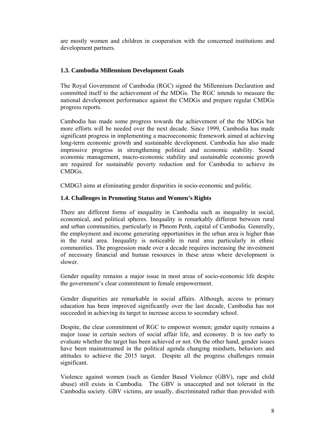are mostly women and children in cooperation with the concerned institutions and development partners.

#### **1.3. Cambodia Millennium Development Goals**

The Royal Government of Cambodia (RGC) signed the Millennium Declaration and committed itself to the achievement of the MDGs. The RGC intends to measure the national development performance against the CMDGs and prepare regular CMDGs progress reports.

Cambodia has made some progress towards the achievement of the the MDGs but more efforts will be needed over the next decade. Since 1999, Cambodia has made significant progress in implementing a macroeconomic framework aimed at achieving long-term economic growth and sustainable development. Cambodia has also made impressive progress in strengthening political and economic stability. Sound economic management, macro-economic stability and sustainable economic growth are required for sustainable poverty reduction and for Cambodia to achieve its CMDGs.

CMDG3 aims at eliminating gender disparities in socio-economic and politic.

#### **1.4. Challenges in Promoting Status and Women's Rights**

There are different forms of inequality in Cambodia such as inequality in social, economical, and political spheres. Inequality is remarkably different between rural and urban communities, particularly in Phnom Penh, capital of Cambodia. Generally, the employment and income generating opportunities in the urban area is higher than in the rural area. Inequality is noticeable in rural area particularly in ethnic communities. The progression made over a decade requires increasing the investment of necessary financial and human resources in these areas where development is slower.

Gender equality remains a major issue in most areas of socio-economic life despite the government's clear commitment to female empowerment.

Gender disparities are remarkable in social affairs. Although, access to primary education has been improved significantly over the last decade, Cambodia has not succeeded in achieving its target to increase access to secondary school.

Despite, the clear commitment of RGC to empower women; gender equity remains a major issue in certain sectors of social affair life, and economy. It is too early to evaluate whether the target has been achieved or not. On the other hand, gender issues have been mainstreamed in the political agenda changing mindsets, behaviors and attitudes to achieve the 2015 target. Despite all the progress challenges remain significant.

Violence against women (such as Gender Based Violence (GBV), rape and child abuse) still exists in Cambodia. The GBV is unaccepted and not tolerant in the Cambodia society. GBV victims, are usually, discriminated rather than provided with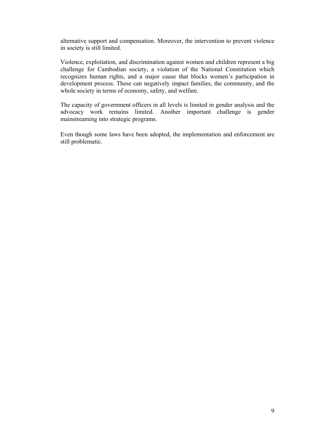alternative support and compensation. Moreover, the intervention to prevent violence in society is still limited.

Violence, exploitation, and discrimination against women and children represent a big challenge for Cambodian society, a violation of the National Constitution which recognizes human rights, and a major cause that blocks women's participation in development process. These can negatively impact families, the community, and the whole society in terms of economy, safety, and welfare.

The capacity of government officers in all levels is limited in gender analysis and the advocacy work remains limited. Another important challenge is gender mainstreaming into strategic programs.

Even though some laws have been adopted, the implementation and enforcement are still problematic.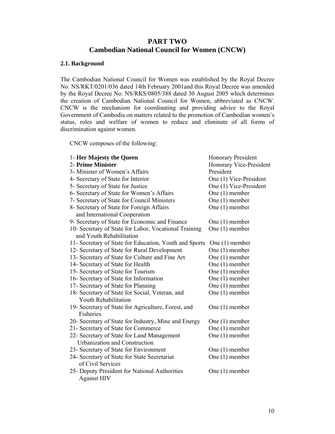## **PART TWO Cambodian National Council for Women (CNCW)**

#### **2.1. Background**

The Cambodian National Council for Women was established by the Royal Decree No. NS/RKT/0201/036 dated 14th February 2001and this Royal Decree was amended by the Royal Decree No. NS/RKS/0805/388 dated 30 August 2005 which determines the creation of Cambodian National Council for Women, abbreviated as CNCW. CNCW is the mechanism for coordinating and providing advice to the Royal Government of Cambodia on matters related to the promotion of Cambodian women's status, roles and welfare of women to reduce and eliminate of all forms of discrimination against women.

CNCW composes of the following:

| 1- Her Majesty the Queen                               | <b>Honorary President</b> |
|--------------------------------------------------------|---------------------------|
| 2- Prime Minister                                      | Honorary Vice-President   |
| 3- Minister of Women's Affairs                         | President                 |
| 4- Secretary of State for Interior                     | One (1) Vice-President    |
| 5- Secretary of State for Justice                      | One (1) Vice-President    |
| 6- Secretary of State for Women's Affairs              | One $(1)$ member          |
| 7- Secretary of State for Council Ministers            | One $(1)$ member          |
| 8- Secretary of State for Foreign Affairs              | One $(1)$ member          |
| and International Cooperation                          |                           |
| 9- Secretary of State for Economic and Finance         | One $(1)$ member          |
| 10- Secretary of State for Labor, Vocational Training  | One $(1)$ member          |
| and Youth Rehabilitation                               |                           |
| 11- Secretary of State for Education, Youth and Sports | One $(1)$ member          |
| 12- Secretary of State for Rural Development           | One $(1)$ member          |
| 13- Secretary of State for Culture and Fine Art        | One $(1)$ member          |
| 14- Secretary of State for Health                      | One $(1)$ member          |
| 15- Secretary of State for Tourism                     | One $(1)$ member          |
| 16- Secretary of State for Information                 | One $(1)$ member          |
| 17- Secretary of State for Planning                    | One $(1)$ member          |
| 18- Secretary of State for Social, Veteran, and        | One $(1)$ member          |
| Youth Rehabilitation                                   |                           |
| 19- Secretary of State for Agriculture, Forest, and    | One $(1)$ member          |
| Fisheries                                              |                           |
| 20- Secretary of State for Industry, Mine and Energy   | One $(1)$ member          |
| 21- Secretary of State for Commerce                    | One $(1)$ member          |
| 22- Secretary of State for Land Management             | One $(1)$ member          |
| <b>Urbanization and Construction</b>                   |                           |
| 23- Secretary of State for Environment                 | One $(1)$ member          |
| 24- Secretary of State for State Secretariat           | One $(1)$ member          |
| of Civil Services                                      |                           |
| 25- Deputy President for National Authorities          | One $(1)$ member          |
| <b>Against HIV</b>                                     |                           |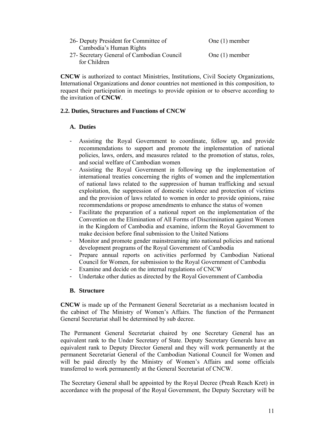| 26- Deputy President for Committee of      | One $(1)$ member |
|--------------------------------------------|------------------|
| Cambodia's Human Rights                    |                  |
| 27- Secretary General of Cambodian Council | One $(1)$ member |
| for Children                               |                  |

**CNCW** is authorized to contact Ministries, Institutions, Civil Society Organizations, International Organizations and donor countries not mentioned in this composition, to request their participation in meetings to provide opinion or to observe according to the invitation of **CNCW**.

#### **2.2. Duties, Structures and Functions of CNCW**

#### **A. Duties**

- Assisting the Royal Government to coordinate, follow up, and provide recommendations to support and promote the implementation of national policies, laws, orders, and measures related to the promotion of status, roles, and social welfare of Cambodian women
- Assisting the Royal Government in following up the implementation of international treaties concerning the rights of women and the implementation of national laws related to the suppression of human trafficking and sexual exploitation, the suppression of domestic violence and protection of victims and the provision of laws related to women in order to provide opinions, raise recommendations or propose amendments to enhance the status of women
- Facilitate the preparation of a national report on the implementation of the Convention on the Elimination of All Forms of Discrimination against Women in the Kingdom of Cambodia and examine, inform the Royal Government to make decision before final submission to the United Nations
- Monitor and promote gender mainstreaming into national policies and national development programs of the Royal Government of Cambodia
- Prepare annual reports on activities performed by Cambodian National Council for Women, for submission to the Royal Government of Cambodia
- Examine and decide on the internal regulations of CNCW
- Undertake other duties as directed by the Royal Government of Cambodia

#### **B. Structure**

**CNCW** is made up of the Permanent General Secretariat as a mechanism located in the cabinet of The Ministry of Women's Affairs. The function of the Permanent General Secretariat shall be determined by sub decree.

The Permanent General Secretariat chaired by one Secretary General has an equivalent rank to the Under Secretary of State. Deputy Secretary Generals have an equivalent rank to Deputy Director General and they will work permanently at the permanent Secretariat General of the Cambodian National Council for Women and will be paid directly by the Ministry of Women's Affairs and some officials transferred to work permanently at the General Secretariat of CNCW.

The Secretary General shall be appointed by the Royal Decree (Preah Reach Kret) in accordance with the proposal of the Royal Government, the Deputy Secretary will be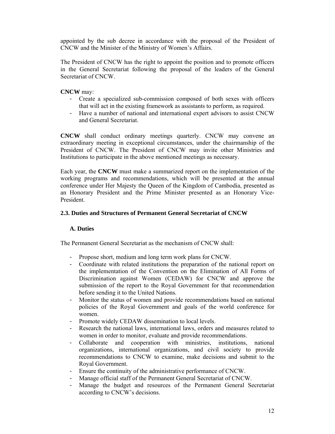appointed by the sub decree in accordance with the proposal of the President of CNCW and the Minister of the Ministry of Women's Affairs.

The President of CNCW has the right to appoint the position and to promote officers in the General Secretariat following the proposal of the leaders of the General Secretariat of CNCW.

#### **CNCW** may:

- Create a specialized sub-commission composed of both sexes with officers that will act in the existing framework as assistants to perform, as required.
- Have a number of national and international expert advisors to assist CNCW and General Secretariat.

**CNCW** shall conduct ordinary meetings quarterly. CNCW may convene an extraordinary meeting in exceptional circumstances, under the chairmanship of the President of CNCW. The President of CNCW may invite other Ministries and Institutions to participate in the above mentioned meetings as necessary.

Each year, the **CNCW** must make a summarized report on the implementation of the working programs and recommendations, which will be presented at the annual conference under Her Majesty the Queen of the Kingdom of Cambodia, presented as an Honorary President and the Prime Minister presented as an Honorary Vice-President.

#### **2.3. Duties and Structures of Permanent General Secretariat of CNCW**

#### **A. Duties**

The Permanent General Secretariat as the mechanism of CNCW shall:

- Propose short, medium and long term work plans for CNCW.
- Coordinate with related institutions the preparation of the national report on the implementation of the Convention on the Elimination of All Forms of Discrimination against Women (CEDAW) for CNCW and approve the submission of the report to the Royal Government for that recommendation before sending it to the United Nations.
- Monitor the status of women and provide recommendations based on national policies of the Royal Government and goals of the world conference for women.
- Promote widely CEDAW dissemination to local levels.
- Research the national laws, international laws, orders and measures related to women in order to monitor, evaluate and provide recommendations.
- Collaborate and cooperation with ministries, institutions, national organizations, international organizations, and civil society to provide recommendations to CNCW to examine, make decisions and submit to the Royal Government.
- Ensure the continuity of the administrative performance of CNCW.
- Manage official staff of the Permanent General Secretariat of CNCW.
- Manage the budget and resources of the Permanent General Secretariat according to CNCW's decisions.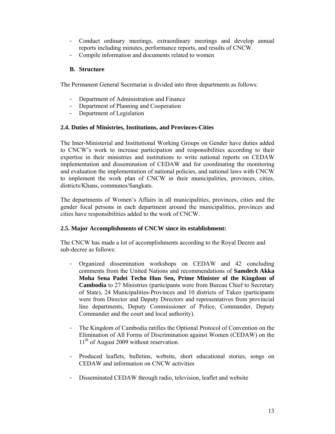- Conduct ordinary meetings, extraordinary meetings and develop annual reports including minutes, performance reports, and results of CNCW.
- Compile information and documents related to women

#### **B. Structure**

The Permanent General Secretariat is divided into three departments as follows:

- Department of Administration and Finance
- Department of Planning and Cooperation
- Department of Legislation

#### **2.4. Duties of Ministries, Institutions, and Provinces-Cities**

The Inter-Ministerial and Institutional Working Groups on Gender have duties added to CNCW's work to increase participation and responsibilities according to their expertise in their ministries and institutions to write national reports on CEDAW implementation and dissemination of CEDAW and for coordinating the monitoring and evaluation the implementation of national policies, and national laws with CNCW to implement the work plan of CNCW in their municipalities, provinces, cities, districts/Khans, communes/Sangkats.

The departments of Women's Affairs in all municipalities, provinces, cities and the gender focal persons in each department around the municipalities, provinces and cities have responsibilities added to the work of CNCW.

#### **2.5. Major Accomplishments of CNCW since its establishment:**

The CNCW has made a lot of accomplishments according to the Royal Decree and sub-decree as follows:

- Organized dissemination workshops on CEDAW and 42 concluding comments from the United Nations and recommendations of **Samdech Akka Moha Sena Padei Techo Hun Sen, Prime Minister of the Kingdom of Cambodia** to 27 Ministries (participants were from Bureau Chief to Secretary of State), 24 Municipalities-Provinces and 10 districts of Takeo (participants were from Director and Deputy Directors and representatives from provincial line departments, Deputy Commissioner of Police, Commander, Deputy Commander and the court and local authority).
- The Kingdom of Cambodia ratifies the Optional Protocol of Convention on the Elimination of All Forms of Discrimination against Women (CEDAW) on the 11<sup>th</sup> of August 2009 without reservation.
- Produced leaflets, bulletins, website, short educational stories, songs on CEDAW and information on CNCW activities
- Disseminated CEDAW through radio, television, leaflet and website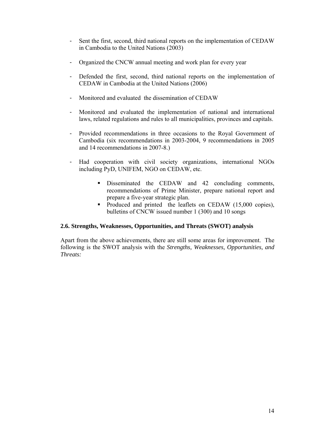- Sent the first, second, third national reports on the implementation of CEDAW in Cambodia to the United Nations (2003)
- Organized the CNCW annual meeting and work plan for every year
- Defended the first, second, third national reports on the implementation of CEDAW in Cambodia at the United Nations (2006)
- Monitored and evaluated the dissemination of CEDAW
- Monitored and evaluated the implementation of national and international laws, related regulations and rules to all municipalities, provinces and capitals.
- Provided recommendations in three occasions to the Royal Government of Cambodia (six recommendations in 2003-2004, 9 recommendations in 2005 and 14 recommendations in 2007-8.)
- Had cooperation with civil society organizations, international NGOs including PyD, UNIFEM, NGO on CEDAW, etc.
	- Disseminated the CEDAW and 42 concluding comments, recommendations of Prime Minister, prepare national report and prepare a five-year strategic plan.
	- Produced and printed the leaflets on CEDAW (15,000 copies), bulletins of CNCW issued number 1 (300) and 10 songs

#### **2.6. Strengths, Weaknesses, Opportunities, and Threats (SWOT) analysis**

Apart from the above achievements, there are still some areas for improvement. The following is the SWOT analysis with the *Strengths, Weaknesses, Opportunities, and Threats:*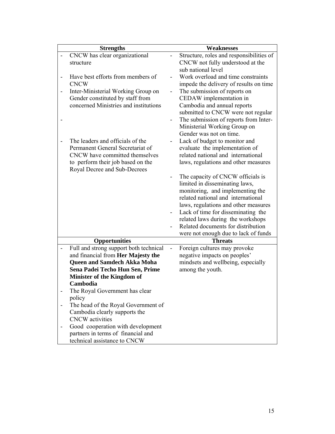| <b>Strengths</b>                                                  |                          | <b>Weaknesses</b>                        |
|-------------------------------------------------------------------|--------------------------|------------------------------------------|
| CNCW has clear organizational                                     |                          | Structure, roles and responsibilities of |
| structure                                                         |                          | CNCW not fully understood at the         |
|                                                                   |                          | sub national level                       |
| Have best efforts from members of                                 |                          | Work overload and time constraints       |
| <b>CNCW</b>                                                       |                          | impede the delivery of results on time   |
| Inter-Ministerial Working Group on                                |                          | The submission of reports on             |
| Gender constituted by staff from                                  |                          | CEDAW implementation in                  |
| concerned Ministries and institutions                             |                          | Cambodia and annual reports              |
|                                                                   |                          | submitted to CNCW were not regular       |
|                                                                   |                          | The submission of reports from Inter-    |
|                                                                   |                          | Ministerial Working Group on             |
|                                                                   |                          | Gender was not on time.                  |
| The leaders and officials of the                                  |                          | Lack of budget to monitor and            |
| Permanent General Secretariat of                                  |                          | evaluate the implementation of           |
| CNCW have committed themselves                                    |                          | related national and international       |
| to perform their job based on the<br>Royal Decree and Sub-Decrees |                          | laws, regulations and other measures     |
|                                                                   |                          | The capacity of CNCW officials is        |
|                                                                   |                          | limited in disseminating laws,           |
|                                                                   |                          | monitoring, and implementing the         |
|                                                                   |                          | related national and international       |
|                                                                   |                          | laws, regulations and other measures     |
|                                                                   |                          | Lack of time for disseminating the       |
|                                                                   |                          | related laws during the workshops        |
|                                                                   |                          | Related documents for distribution       |
|                                                                   |                          | were not enough due to lack of funds     |
| <b>Opportunities</b>                                              |                          | <b>Threats</b>                           |
| Full and strong support both technical                            | $\overline{\phantom{0}}$ | Foreign cultures may provoke             |
| and financial from Her Majesty the                                |                          | negative impacts on peoples'             |
| <b>Queen and Samdech Akka Moha</b>                                |                          | mindsets and wellbeing, especially       |
| Sena Padei Techo Hun Sen, Prime                                   |                          | among the youth.                         |
| Minister of the Kingdom of                                        |                          |                                          |
| Cambodia                                                          |                          |                                          |
| The Royal Government has clear                                    |                          |                                          |
| policy                                                            |                          |                                          |
| The head of the Royal Government of                               |                          |                                          |
| Cambodia clearly supports the                                     |                          |                                          |
| <b>CNCW</b> activities                                            |                          |                                          |
| Good cooperation with development                                 |                          |                                          |
| partners in terms of financial and                                |                          |                                          |
| technical assistance to CNCW                                      |                          |                                          |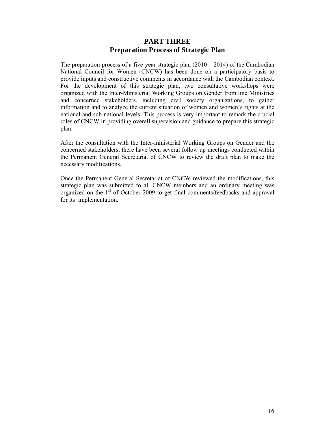## **PART THREE Preparation Process of Strategic Plan**

The preparation process of a five-year strategic plan  $(2010 - 2014)$  of the Cambodian National Council for Women (CNCW) has been done on a participatory basis to provide inputs and constructive comments in accordance with the Cambodian context. For the development of this strategic plan, two consultative workshops were organized with the Inter-Ministerial Working Groups on Gender from line Ministries and concerned stakeholders, including civil society organizations, to gather information and to analyze the current situation of women and women's rights at the national and sub national levels. This process is very important to remark the crucial roles of CNCW in providing overall supervision and guidance to prepare this strategic plan.

After the consultation with the Inter-ministerial Working Groups on Gender and the concerned stakeholders, there have been several follow up meetings conducted within the Permanent General Secretariat of CNCW to review the draft plan to make the necessary modifications.

Once the Permanent General Secretariat of CNCW reviewed the modifications, this strategic plan was submitted to all CNCW members and an ordinary meeting was organized on the 1<sup>st</sup> of October 2009 to get final comments/feedbacks and approval for its implementation.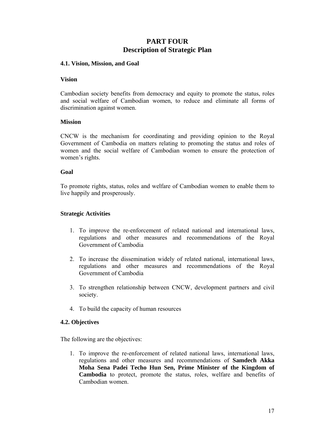# **PART FOUR Description of Strategic Plan**

#### **4.1. Vision, Mission, and Goal**

#### **Vision**

Cambodian society benefits from democracy and equity to promote the status, roles and social welfare of Cambodian women, to reduce and eliminate all forms of discrimination against women.

#### **Mission**

CNCW is the mechanism for coordinating and providing opinion to the Royal Government of Cambodia on matters relating to promoting the status and roles of women and the social welfare of Cambodian women to ensure the protection of women's rights.

#### **Goal**

To promote rights, status, roles and welfare of Cambodian women to enable them to live happily and prosperously.

#### **Strategic Activities**

- 1. To improve the re-enforcement of related national and international laws, regulations and other measures and recommendations of the Royal Government of Cambodia
- 2. To increase the dissemination widely of related national, international laws, regulations and other measures and recommendations of the Royal Government of Cambodia
- 3. To strengthen relationship between CNCW, development partners and civil society.
- 4. To build the capacity of human resources

#### **4.2. Objectives**

The following are the objectives:

1. To improve the re-enforcement of related national laws, international laws, regulations and other measures and recommendations of **Samdech Akka Moha Sena Padei Techo Hun Sen, Prime Minister of the Kingdom of Cambodia** to protect, promote the status, roles, welfare and benefits of Cambodian women.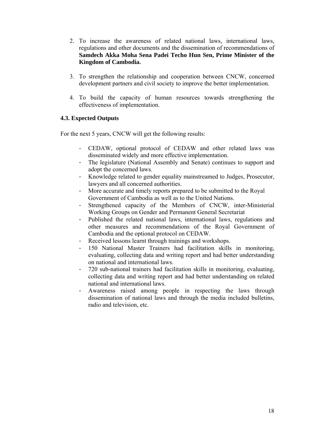- 2. To increase the awareness of related national laws, international laws, regulations and other documents and the dissemination of recommendations of **Samdech Akka Moha Sena Padei Techo Hun Sen, Prime Minister of the Kingdom of Cambodia.**
- 3. To strengthen the relationship and cooperation between CNCW, concerned development partners and civil society to improve the better implementation.
- 4. To build the capacity of human resources towards strengthening the effectiveness of implementation.

#### **4.3. Expected Outputs**

For the next 5 years, CNCW will get the following results:

- CEDAW, optional protocol of CEDAW and other related laws was disseminated widely and more effective implementation.
- The legislature (National Assembly and Senate) continues to support and adopt the concerned laws.
- Knowledge related to gender equality mainstreamed to Judges, Prosecutor, lawyers and all concerned authorities.
- More accurate and timely reports prepared to be submitted to the Royal Government of Cambodia as well as to the United Nations.
- Strengthened capacity of the Members of CNCW, inter-Ministerial Working Groups on Gender and Permanent General Secretariat
- Published the related national laws, international laws, regulations and other measures and recommendations of the Royal Government of Cambodia and the optional protocol on CEDAW.
- Received lessons learnt through trainings and workshops.
- 150 National Master Trainers had facilitation skills in monitoring, evaluating, collecting data and writing report and had better understanding on national and international laws.
- 720 sub-national trainers had facilitation skills in monitoring, evaluating, collecting data and writing report and had better understanding on related national and international laws.
- Awareness raised among people in respecting the laws through dissemination of national laws and through the media included bulletins, radio and television, etc.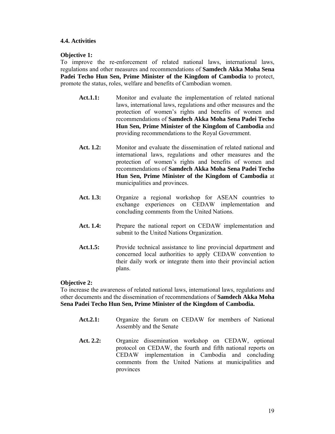#### **4.4. Activities**

#### **Objective 1:**

To improve the re-enforcement of related national laws, international laws, regulations and other measures and recommendations of **Samdech Akka Moha Sena Padei Techo Hun Sen, Prime Minister of the Kingdom of Cambodia** to protect, promote the status, roles, welfare and benefits of Cambodian women.

- **Act.1.1:** Monitor and evaluate the implementation of related national laws, international laws, regulations and other measures and the protection of women's rights and benefits of women and recommendations of **Samdech Akka Moha Sena Padei Techo Hun Sen, Prime Minister of the Kingdom of Cambodia** and providing recommendations to the Royal Government.
- Act. 1.2: Monitor and evaluate the dissemination of related national and international laws, regulations and other measures and the protection of women's rights and benefits of women and recommendations of **Samdech Akka Moha Sena Padei Techo Hun Sen, Prime Minister of the Kingdom of Cambodia** at municipalities and provinces.
- **Act. 1.3:** Organize a regional workshop for ASEAN countries to exchange experiences on CEDAW implementation and concluding comments from the United Nations.
- Act. 1.4: Prepare the national report on CEDAW implementation and submit to the United Nations Organization.
- Act.1.5: Provide technical assistance to line provincial department and concerned local authorities to apply CEDAW convention to their daily work or integrate them into their provincial action plans.

#### **Objective 2:**

To increase the awareness of related national laws, international laws, regulations and other documents and the dissemination of recommendations of **Samdech Akka Moha Sena Padei Techo Hun Sen, Prime Minister of the Kingdom of Cambodia.**

- Act.2.1: Organize the forum on CEDAW for members of National Assembly and the Senate
- Act. 2.2: Organize dissemination workshop on CEDAW, optional protocol on CEDAW, the fourth and fifth national reports on CEDAW implementation in Cambodia and concluding comments from the United Nations at municipalities and provinces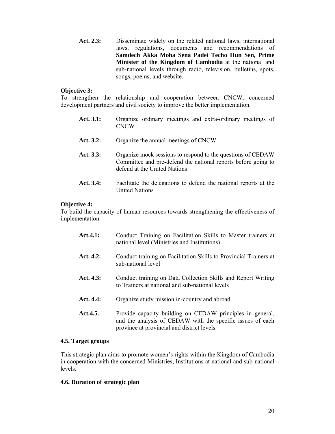Act. 2.3: Disseminate widely on the related national laws, international laws, regulations, documents and recommendations of **Samdech Akka Moha Sena Padei Techo Hun Sen, Prime Minister of the Kingdom of Cambodia** at the national and sub-national levels through radio, television, bulletins, spots, songs, poems, and website.

#### **Objective 3:**

To strengthen the relationship and cooperation between CNCW, concerned development partners and civil society to improve the better implementation.

- Act. 3.1: Organize ordinary meetings and extra-ordinary meetings of CNCW
- Act. 3.2: Organize the annual meetings of CNCW
- Act. 3.3: Organize mock sessions to respond to the questions of CEDAW Committee and pre-defend the national reports before going to defend at the United Nations
- Act. 3.4: Facilitate the delegations to defend the national reports at the United Nations

#### **Objective 4:**

To build the capacity of human resources towards strengthening the effectiveness of implementation.

| <b>Act.4.1:</b> | Conduct Training on Facilitation Skills to Master trainers at<br>national level (Ministries and Institutions)                                                          |
|-----------------|------------------------------------------------------------------------------------------------------------------------------------------------------------------------|
| Act. $4.2:$     | Conduct training on Facilitation Skills to Provincial Trainers at<br>sub-national level                                                                                |
| Act. $4.3:$     | Conduct training on Data Collection Skills and Report Writing<br>to Trainers at national and sub-national levels                                                       |
| Act. 4.4:       | Organize study mission in-country and abroad                                                                                                                           |
| Act.4.5.        | Provide capacity building on CEDAW principles in general,<br>and the analysis of CEDAW with the specific issues of each<br>province at provincial and district levels. |

#### **4.5. Target groups**

This strategic plan aims to promote women's rights within the Kingdom of Cambodia in cooperation with the concerned Ministries, Institutions at national and sub-national levels.

#### **4.6. Duration of strategic plan**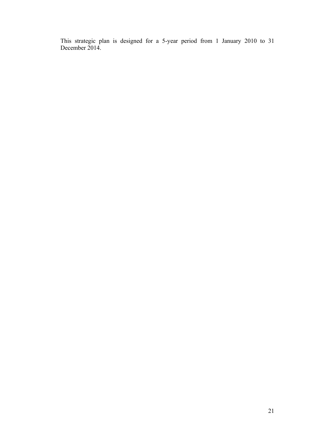This strategic plan is designed for a 5-year period from 1 January 2010 to 31 December 2014.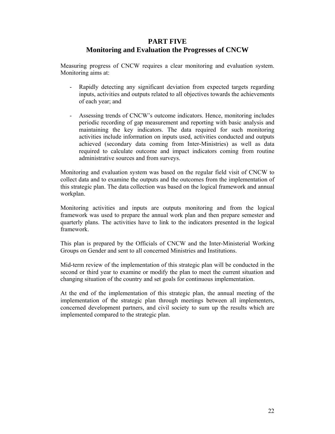## **PART FIVE Monitoring and Evaluation the Progresses of CNCW**

Measuring progress of CNCW requires a clear monitoring and evaluation system. Monitoring aims at:

- Rapidly detecting any significant deviation from expected targets regarding inputs, activities and outputs related to all objectives towards the achievements of each year; and
- Assessing trends of CNCW's outcome indicators. Hence, monitoring includes periodic recording of gap measurement and reporting with basic analysis and maintaining the key indicators. The data required for such monitoring activities include information on inputs used, activities conducted and outputs achieved (secondary data coming from Inter-Ministries) as well as data required to calculate outcome and impact indicators coming from routine administrative sources and from surveys.

Monitoring and evaluation system was based on the regular field visit of CNCW to collect data and to examine the outputs and the outcomes from the implementation of this strategic plan. The data collection was based on the logical framework and annual workplan.

Monitoring activities and inputs are outputs monitoring and from the logical framework was used to prepare the annual work plan and then prepare semester and quarterly plans. The activities have to link to the indicators presented in the logical framework.

This plan is prepared by the Officials of CNCW and the Inter-Ministerial Working Groups on Gender and sent to all concerned Ministries and Institutions.

Mid-term review of the implementation of this strategic plan will be conducted in the second or third year to examine or modify the plan to meet the current situation and changing situation of the country and set goals for continuous implementation.

At the end of the implementation of this strategic plan, the annual meeting of the implementation of the strategic plan through meetings between all implementers, concerned development partners, and civil society to sum up the results which are implemented compared to the strategic plan.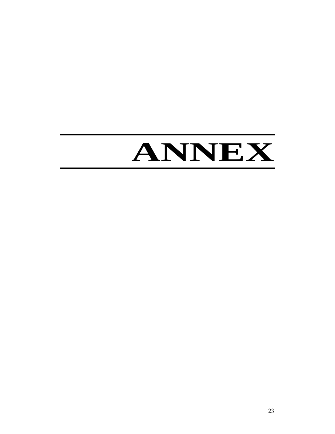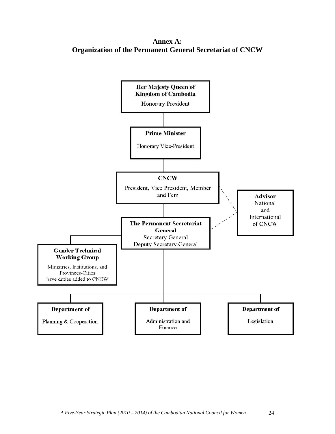**Annex A: Organization of the Permanent General Secretariat of CNCW** 

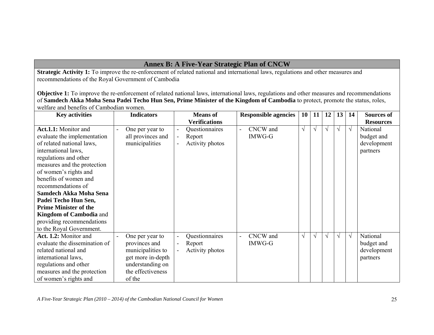# **Annex B: A Five-Year Strategic Plan of CNCW**

**Strategic Activity 1:** To improve the re-enforcement of related national and international laws, regulations and other measures and recommendations of the Royal Government of Cambodia

**Objective 1:** To improve the re-enforcement of related national laws, international laws, regulations and other measures and recommendations of **Samdech Akka Moha Sena Padei Techo Hun Sen, Prime Minister of the Kingdom of Cambodia** to protect, promote the status, roles, welfare and benefits of Cambodian women.

| <b>Key activities</b>          | <b>Indicators</b> | <b>Means</b> of                   | <b>Responsible agencies</b> | <b>10</b> | 11         | 12         | 13 <sup>1</sup> | 14         | <b>Sources of</b> |
|--------------------------------|-------------------|-----------------------------------|-----------------------------|-----------|------------|------------|-----------------|------------|-------------------|
|                                |                   | <b>Verifications</b>              |                             |           |            |            |                 |            | <b>Resources</b>  |
| <b>Act.1.1:</b> Monitor and    | One per year to   | Questionnaires<br>$\blacksquare$  | CNCW and<br>$\blacksquare$  | $\sqrt{}$ |            | V          | $\sqrt{ }$      | $\sqrt{ }$ | National          |
| evaluate the implementation    | all provinces and | Report<br>$\blacksquare$          | IMWG-G                      |           |            |            |                 |            | budget and        |
| of related national laws,      | municipalities    | Activity photos<br>$\blacksquare$ |                             |           |            |            |                 |            | development       |
| international laws,            |                   |                                   |                             |           |            |            |                 |            | partners          |
| regulations and other          |                   |                                   |                             |           |            |            |                 |            |                   |
| measures and the protection    |                   |                                   |                             |           |            |            |                 |            |                   |
| of women's rights and          |                   |                                   |                             |           |            |            |                 |            |                   |
| benefits of women and          |                   |                                   |                             |           |            |            |                 |            |                   |
| recommendations of             |                   |                                   |                             |           |            |            |                 |            |                   |
| Samdech Akka Moha Sena         |                   |                                   |                             |           |            |            |                 |            |                   |
| Padei Techo Hun Sen,           |                   |                                   |                             |           |            |            |                 |            |                   |
| <b>Prime Minister of the</b>   |                   |                                   |                             |           |            |            |                 |            |                   |
| <b>Kingdom of Cambodia and</b> |                   |                                   |                             |           |            |            |                 |            |                   |
| providing recommendations      |                   |                                   |                             |           |            |            |                 |            |                   |
| to the Royal Government.       |                   |                                   |                             |           |            |            |                 |            |                   |
| Act. 1.2: Monitor and          | One per year to   | Questionnaires<br>$\blacksquare$  | CNCW and<br>$\blacksquare$  | $\sqrt{}$ | $\sqrt{ }$ | $\sqrt{ }$ | $\sqrt{}$       | $\sqrt{ }$ | National          |
| evaluate the dissemination of  | provinces and     | Report<br>$\blacksquare$          | IMWG-G                      |           |            |            |                 |            | budget and        |
| related national and           | municipalities to | Activity photos                   |                             |           |            |            |                 |            | development       |
| international laws,            | get more in-depth |                                   |                             |           |            |            |                 |            | partners          |
| regulations and other          | understanding on  |                                   |                             |           |            |            |                 |            |                   |
| measures and the protection    | the effectiveness |                                   |                             |           |            |            |                 |            |                   |
| of women's rights and          | of the            |                                   |                             |           |            |            |                 |            |                   |

*A Five-Year Strategic Plan (2010 – 2014) of the Cambodian National Council for Women* 25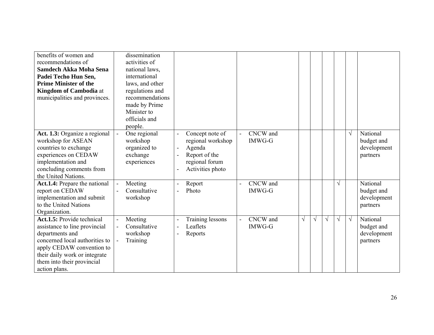| benefits of women and<br>recommendations of<br>Samdech Akka Moha Sena<br>Padei Techo Hun Sen,<br><b>Prime Minister of the</b><br><b>Kingdom of Cambodia</b> at<br>municipalities and provinces.                               | dissemination<br>activities of<br>national laws,<br>international<br>laws, and other<br>regulations and<br>recommendations<br>made by Prime<br>Minister to<br>officials and<br>people. |                                                                                                                               |                                             |            |            |            |           |            |                                                   |
|-------------------------------------------------------------------------------------------------------------------------------------------------------------------------------------------------------------------------------|----------------------------------------------------------------------------------------------------------------------------------------------------------------------------------------|-------------------------------------------------------------------------------------------------------------------------------|---------------------------------------------|------------|------------|------------|-----------|------------|---------------------------------------------------|
| Act. 1.3: Organize a regional<br>workshop for ASEAN<br>countries to exchange<br>experiences on CEDAW<br>implementation and<br>concluding comments from<br>the United Nations.                                                 | One regional<br>$\blacksquare$<br>workshop<br>organized to<br>exchange<br>experiences                                                                                                  | Concept note of<br>regional workshop<br>Agenda<br>$\blacksquare$<br>Report of the<br>÷,<br>regional forum<br>Activities photo | CNCW and<br>$\mathbf{r}$<br><b>IMWG-G</b>   |            |            |            |           | $\sqrt{ }$ | National<br>budget and<br>development<br>partners |
| Act.1.4: Prepare the national<br>report on CEDAW<br>implementation and submit<br>to the United Nations<br>Organization.                                                                                                       | Meeting<br>Consultative<br>workshop                                                                                                                                                    | Report<br>Photo<br>$\blacksquare$                                                                                             | CNCW and<br>$\blacksquare$<br><b>IMWG-G</b> |            |            |            | $\sqrt{}$ |            | National<br>budget and<br>development<br>partners |
| Act.1.5: Provide technical<br>assistance to line provincial<br>departments and<br>concerned local authorities to<br>apply CEDAW convention to<br>their daily work or integrate<br>them into their provincial<br>action plans. | Meeting<br>Consultative<br>workshop<br>Training                                                                                                                                        | Training lessons<br>Leaflets<br>$\blacksquare$<br>Reports<br>$\overline{a}$                                                   | CNCW and<br>$\blacksquare$<br><b>IMWG-G</b> | $\sqrt{ }$ | $\sqrt{ }$ | $\sqrt{ }$ | $\sqrt{}$ | $\sqrt{ }$ | National<br>budget and<br>development<br>partners |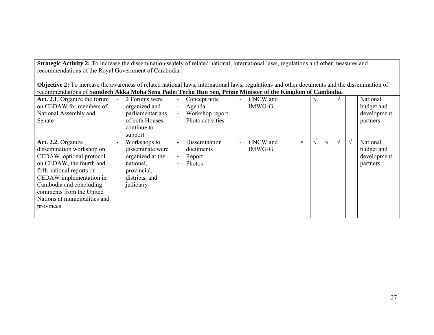**Strategic Activity 2:** To increase the dissemination widely of related national, international laws, regulations and other measures and recommendations of the Royal Government of Cambodia**.** 

**Objective 2:** To increase the awareness of related national laws, international laws, regulations and other documents and the dissemination of recommendations of **Samdech Akka Moha Sena Padei Techo Hun Sen, Prime Minister of the Kingdom of Cambodia.**

| Act. 2.1. Organize the forum<br>on CEDAW for members of<br>National Assembly and<br>Senate                                                                                                                                                                           | 2 Forums were<br>organized and<br>parliamentarians<br>of both Houses<br>continue to<br>support                  | Concept note<br>Agenda<br>$\blacksquare$<br>Workshop report<br>$\blacksquare$<br>Photo activities | CNCW and<br>$\overline{\phantom{0}}$<br>IMWG-G |            | $\mathcal{N}$ |            |          | National<br>budget and<br>development<br>partners |
|----------------------------------------------------------------------------------------------------------------------------------------------------------------------------------------------------------------------------------------------------------------------|-----------------------------------------------------------------------------------------------------------------|---------------------------------------------------------------------------------------------------|------------------------------------------------|------------|---------------|------------|----------|---------------------------------------------------|
| Act. 2.2. Organize<br>dissemination workshop on<br>CEDAW, optional protocol<br>on CEDAW, the fourth and<br>fifth national reports on<br>CEDAW implementation in<br>Cambodia and concluding<br>comments from the United<br>Nations at municipalities and<br>provinces | Workshops to<br>disseminate were<br>organized at the<br>national,<br>provincial,<br>districts, and<br>judiciary | Dissemination<br>$\blacksquare$<br>documents<br>Report<br>Photos<br>Ē,                            | CNCW and<br>$\blacksquare$<br><b>IMWG-G</b>    | $\sqrt{ }$ | $\mathcal{N}$ | $\sqrt{ }$ | $\gamma$ | National<br>budget and<br>development<br>partners |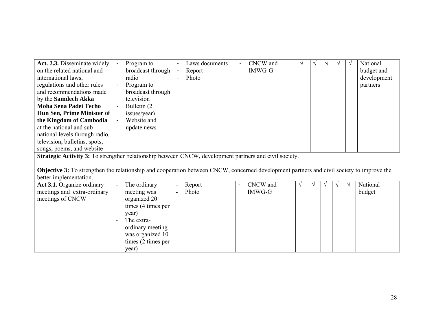| <b>Act. 2.3.</b> Disseminate widely<br>on the related national and<br>international laws.<br>regulations and other rules<br>and recommendations made<br>by the <b>Samdech Akka</b><br><b>Moha Sena Padei Techo</b><br>Hun Sen, Prime Minister of<br>the Kingdom of Cambodia<br>at the national and sub-<br>national levels through radio,<br>television, bulletins, spots,<br>songs, poems, and website | Program to<br>broadcast through<br>radio<br>Program to<br>broadcast through<br>television<br>Bulletin (2)<br>issues/year)<br>Website and<br>update news | $\overline{\phantom{0}}$<br>$\blacksquare$ | Laws documents<br>Report<br>Photo | $\blacksquare$ | CNCW and<br>IMWG-G |  |  |  | National<br>budget and<br>development<br>partners |
|---------------------------------------------------------------------------------------------------------------------------------------------------------------------------------------------------------------------------------------------------------------------------------------------------------------------------------------------------------------------------------------------------------|---------------------------------------------------------------------------------------------------------------------------------------------------------|--------------------------------------------|-----------------------------------|----------------|--------------------|--|--|--|---------------------------------------------------|
| <b>Strategic Activity 3:</b> To strengthen relationship between CNCW, development partners and civil society.                                                                                                                                                                                                                                                                                           |                                                                                                                                                         |                                            |                                   |                |                    |  |  |  |                                                   |

**Objective 3:** To strengthen the relationship and cooperation between CNCW, concerned development partners and civil society to improve the better implementation.

| Act 3.1. Organize ordinary  | $\overline{\phantom{a}}$ | The ordinary       | $\overline{\phantom{0}}$ | Report |  | CNCW and | $\mathcal{N}$ | $\mathcal{N}$ | $\sqrt{ }$ | National |
|-----------------------------|--------------------------|--------------------|--------------------------|--------|--|----------|---------------|---------------|------------|----------|
| meetings and extra-ordinary |                          | meeting was        | $\overline{\phantom{0}}$ | Photo  |  | IMWG-G   |               |               |            | budget   |
| meetings of CNCW            |                          | organized 20       |                          |        |  |          |               |               |            |          |
|                             |                          | times (4 times per |                          |        |  |          |               |               |            |          |
|                             |                          | year)              |                          |        |  |          |               |               |            |          |
|                             |                          | The extra-         |                          |        |  |          |               |               |            |          |
|                             |                          | ordinary meeting   |                          |        |  |          |               |               |            |          |
|                             |                          | was organized 10   |                          |        |  |          |               |               |            |          |
|                             |                          | times (2 times per |                          |        |  |          |               |               |            |          |
|                             |                          | year)              |                          |        |  |          |               |               |            |          |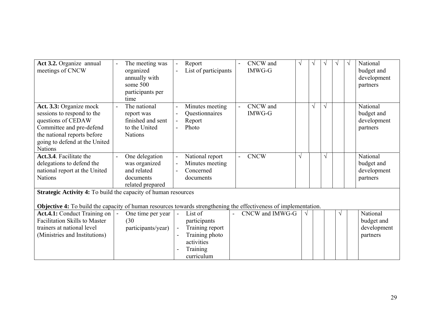| Act 3.2. Organize annual<br>meetings of CNCW                                                                            | The meeting was<br>organized<br>annually with<br>some 500<br>participants per<br>time | Report<br>$\blacksquare$<br>List of participants | CNCW and<br><b>IMWG-G</b> | V<br>V     |            | National<br>$\sqrt{ }$<br>budget and<br>development<br>partners |
|-------------------------------------------------------------------------------------------------------------------------|---------------------------------------------------------------------------------------|--------------------------------------------------|---------------------------|------------|------------|-----------------------------------------------------------------|
| Act. 3.3: Organize mock<br>sessions to respond to the                                                                   | The national                                                                          | Minutes meeting<br>-<br>Questionnaires           | CNCW and<br><b>IMWG-G</b> | $\sqrt{}$  | $\sqrt{ }$ | National                                                        |
| questions of CEDAW                                                                                                      | report was<br>finished and sent                                                       | Report<br>$\blacksquare$                         |                           |            |            | budget and<br>development                                       |
| Committee and pre-defend                                                                                                | to the United                                                                         | Photo                                            |                           |            |            | partners                                                        |
| the national reports before                                                                                             | <b>Nations</b>                                                                        |                                                  |                           |            |            |                                                                 |
| going to defend at the United<br><b>Nations</b>                                                                         |                                                                                       |                                                  |                           |            |            |                                                                 |
| Act.3.4. Facilitate the                                                                                                 | One delegation                                                                        | National report<br>ä,                            | <b>CNCW</b>               | $\sqrt{}$  | $\sqrt{}$  | National                                                        |
|                                                                                                                         |                                                                                       |                                                  |                           |            |            |                                                                 |
| delegations to defend the<br>national report at the United                                                              | was organized<br>and related                                                          | Minutes meeting<br>Concerned                     |                           |            |            | budget and<br>development                                       |
| <b>Nations</b>                                                                                                          | documents                                                                             | documents                                        |                           |            |            |                                                                 |
|                                                                                                                         |                                                                                       |                                                  |                           |            |            | partners                                                        |
|                                                                                                                         | related prepared                                                                      |                                                  |                           |            |            |                                                                 |
| <b>Strategic Activity 4:</b> To build the capacity of human resources                                                   |                                                                                       |                                                  |                           |            |            |                                                                 |
| <b>Objective 4:</b> To build the capacity of human resources towards strengthening the effectiveness of implementation. |                                                                                       |                                                  |                           |            |            |                                                                 |
| Act.4.1: Conduct Training on                                                                                            | One time per year                                                                     | List of                                          | CNCW and IMWG-G           | $\sqrt{ }$ | $\sqrt{}$  | National                                                        |
| <b>Facilitation Skills to Master</b>                                                                                    | (30)                                                                                  | participants                                     |                           |            |            | budget and                                                      |
| trainers at national level                                                                                              | participants/year)                                                                    | Training report                                  |                           |            |            | development                                                     |
| (Ministries and Institutions)                                                                                           |                                                                                       | Training photo                                   |                           |            |            | partners                                                        |
|                                                                                                                         |                                                                                       | activities                                       |                           |            |            |                                                                 |
|                                                                                                                         |                                                                                       | Training                                         |                           |            |            |                                                                 |
|                                                                                                                         |                                                                                       | curriculum                                       |                           |            |            |                                                                 |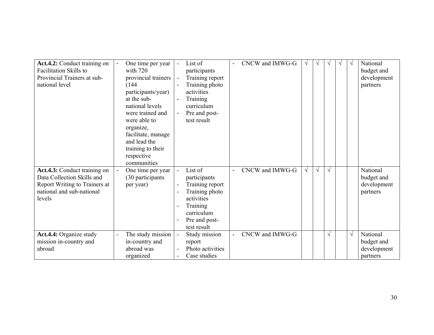| Act.4.2: Conduct training on<br><b>Facilitation Skills to</b><br>Provincial Trainers at sub-<br>national level                     | One time per year<br>with $720$<br>provincial trainers<br>(144)<br>participants/year)<br>at the sub-<br>national levels<br>were trained and<br>were able to<br>organize,<br>facilitate, manage<br>and lead the<br>training to their<br>respective<br>communities | List of<br>participants<br>Training report<br>Training photo<br>activities<br>Training<br>curriculum<br>Pre and post-<br>test result           | CNCW and IMWG-G | $\sqrt{ }$ |            | V          | $\mathcal{N}$ | $\sqrt{ }$ | National<br>budget and<br>development<br>partners |
|------------------------------------------------------------------------------------------------------------------------------------|------------------------------------------------------------------------------------------------------------------------------------------------------------------------------------------------------------------------------------------------------------------|------------------------------------------------------------------------------------------------------------------------------------------------|-----------------|------------|------------|------------|---------------|------------|---------------------------------------------------|
| Act.4.3: Conduct training on<br>Data Collection Skills and<br>Report Writing to Trainers at<br>national and sub-national<br>levels | One time per year<br>(30 participants)<br>per year)                                                                                                                                                                                                              | List of<br>$\sim$<br>participants<br>Training report<br>Training photo<br>activities<br>Training<br>curriculum<br>Pre and post-<br>test result | CNCW and IMWG-G | $\sqrt{}$  | $\sqrt{ }$ | $\sqrt{ }$ |               |            | National<br>budget and<br>development<br>partners |
| Act.4.4: Organize study<br>mission in-country and<br>abroad                                                                        | The study mission<br>in-country and<br>abroad was<br>organized                                                                                                                                                                                                   | Study mission<br>report<br>Photo activities<br>Case studies                                                                                    | CNCW and IMWG-G |            |            | $\sqrt{ }$ |               | $\sqrt{ }$ | National<br>budget and<br>development<br>partners |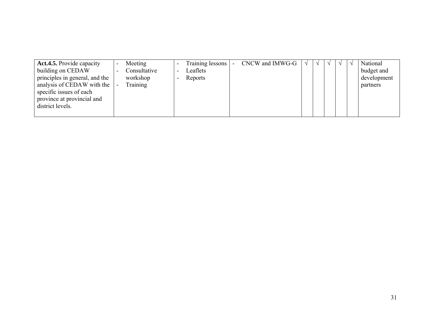| <b>Act.4.5.</b> Provide capacity | Meeting      | Training lessons  <br>$\overline{\phantom{a}}$ | CNCW and IMWG-G | N | $\mathcal{N}$ | National    |
|----------------------------------|--------------|------------------------------------------------|-----------------|---|---------------|-------------|
| building on CEDAW                | Consultative | Leaflets<br>$\overline{\phantom{0}}$           |                 |   |               | budget and  |
| principles in general, and the   | workshop     | Reports                                        |                 |   |               | development |
| analysis of CEDAW with the       | Training     |                                                |                 |   |               | partners    |
| specific issues of each          |              |                                                |                 |   |               |             |
| province at provincial and       |              |                                                |                 |   |               |             |
| district levels.                 |              |                                                |                 |   |               |             |
|                                  |              |                                                |                 |   |               |             |